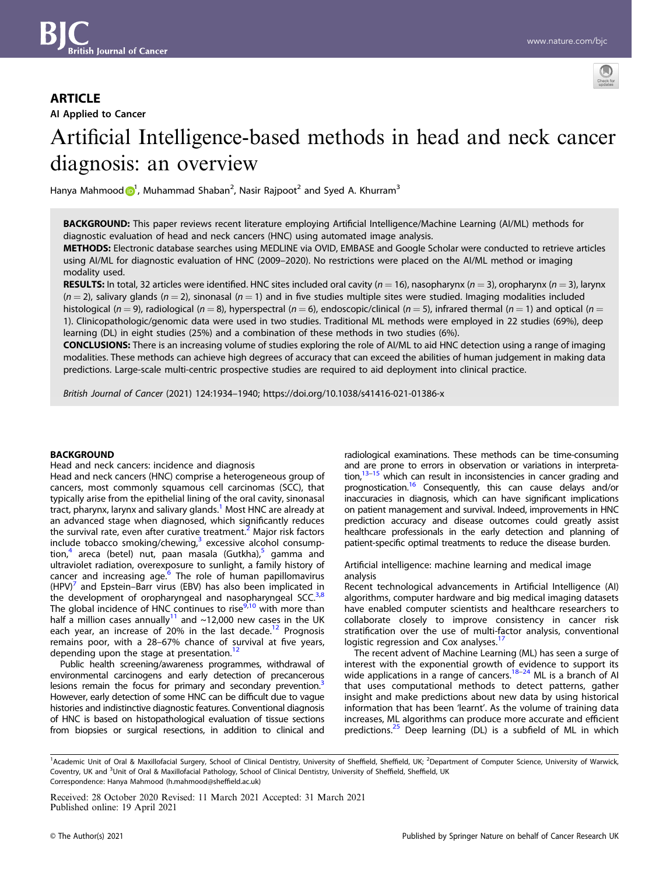# **ARTICLE**

AI Applied to Cancer



# Artificial Intelligence-based methods in head and neck cancer diagnosis: an overview

Hanya Mahmoo[d](http://orcid.org/0000-0001-7159-0368) n, Muhammad Shaban<sup>2</sup>, Nasir Rajpoot<sup>2</sup> and Syed A. Khurram<sup>3</sup>

BACKGROUND: This paper reviews recent literature employing Artificial Intelligence/Machine Learning (AI/ML) methods for diagnostic evaluation of head and neck cancers (HNC) using automated image analysis.

METHODS: Electronic database searches using MEDLINE via OVID, EMBASE and Google Scholar were conducted to retrieve articles using AI/ML for diagnostic evaluation of HNC (2009–2020). No restrictions were placed on the AI/ML method or imaging modality used.

RESULTS: In total, 32 articles were identified. HNC sites included oral cavity ( $n = 16$ ), nasopharynx ( $n = 3$ ), oropharynx ( $n = 3$ ), larynx  $(n = 2)$ , salivary glands  $(n = 2)$ , sinonasal  $(n = 1)$  and in five studies multiple sites were studied. Imaging modalities included histological (n = 9), radiological (n = 8), hyperspectral (n = 6), endoscopic/clinical (n = 5), infrared thermal (n = 1) and optical (n = 1). Clinicopathologic/genomic data were used in two studies. Traditional ML methods were employed in 22 studies (69%), deep learning (DL) in eight studies (25%) and a combination of these methods in two studies (6%).

CONCLUSIONS: There is an increasing volume of studies exploring the role of AI/ML to aid HNC detection using a range of imaging modalities. These methods can achieve high degrees of accuracy that can exceed the abilities of human judgement in making data predictions. Large-scale multi-centric prospective studies are required to aid deployment into clinical practice.

British Journal of Cancer (2021) 124:1934–1940; https://doi.org/10.1038/s41416-021-01386-x

# **BACKGROUND**

Head and neck cancers: incidence and diagnosis

Head and neck cancers (HNC) comprise a heterogeneous group of cancers, most commonly squamous cell carcinomas (SCC), that typically arise from the epithelial lining of the oral cavity, sinonasal tract, pharynx, larynx and salivary glands.<sup>[1](#page-5-0)</sup> Most HNC are already at an advanced stage when diagnosed, which significantly reduces the survival rate, even after curative treatment.<sup>[2](#page-5-0)</sup> Major risk factors include tobacco smoking/chewing, $3$  excessive alcohol consump-tion,<sup>[4](#page-5-0)</sup> areca (betel) nut, paan masala (Gutkha),<sup>[5](#page-5-0)</sup> gamma and ultraviolet radiation, overexposure to sunlight, a family history of cancer and increasing age. $6$  The role of human papillomavirus  $(HPV)^7$  $(HPV)^7$  and Epstein–Barr virus (EBV) has also been implicated in the development of oropharyngeal and nasopharyngeal SCC. $3,8$ The global incidence of HNC continues to rise $9,10$  $9,10$  $9,10$  with more than half a million cases annually<sup>[11](#page-5-0)</sup> and  $\sim$ 12,000 new cases in the UK each year, an increase of 20% in the last decade.<sup>[12](#page-5-0)</sup> Prognosis remains poor, with a 28–67% chance of survival at five years, depending upon the stage at presentation.<sup>[12](#page-5-0)</sup>

Public health screening/awareness programmes, withdrawal of environmental carcinogens and early detection of precancerous lesions remain the focus for primary and secondary prevention.<sup>3</sup> However, early detection of some HNC can be difficult due to vague histories and indistinctive diagnostic features. Conventional diagnosis of HNC is based on histopathological evaluation of tissue sections from biopsies or surgical resections, in addition to clinical and radiological examinations. These methods can be time-consuming and are prone to errors in observation or variations in interpretation, $13-15$  $13-15$  which can result in inconsistencies in cancer grading and prognostication.<sup>16</sup> Consequently, this can cause delays and/or inaccuracies in diagnosis, which can have significant implications on patient management and survival. Indeed, improvements in HNC prediction accuracy and disease outcomes could greatly assist healthcare professionals in the early detection and planning of patient-specific optimal treatments to reduce the disease burden.

Artificial intelligence: machine learning and medical image analysis

Recent technological advancements in Artificial Intelligence (AI) algorithms, computer hardware and big medical imaging datasets have enabled computer scientists and healthcare researchers to collaborate closely to improve consistency in cancer risk stratification over the use of multi-factor analysis, conventional logistic regression and Cox analyses.<sup>1</sup>

The recent advent of Machine Learning (ML) has seen a surge of interest with the exponential growth of evidence to support its wide applications in a range of cancers.<sup>[18](#page-5-0)–[24](#page-5-0)</sup> ML is a branch of AI that uses computational methods to detect patterns, gather insight and make predictions about new data by using historical information that has been 'learnt'. As the volume of training data increases, ML algorithms can produce more accurate and efficient predictions.<sup>[25](#page-6-0)</sup> Deep learning (DL) is a subfield of ML in which

Received: 28 October 2020 Revised: 11 March 2021 Accepted: 31 March 2021 Published online: 19 April 2021

<sup>&</sup>lt;sup>1</sup>Academic Unit of Oral & Maxillofacial Surgery, School of Clinical Dentistry, University of Sheffield, Sheffield, UK; <sup>2</sup>Department of Computer Science, University of Warwick, Coventry, UK and <sup>3</sup>Unit of Oral & Maxillofacial Pathology, School of Clinical Dentistry, University of Sheffield, Sheffield, UK Correspondence: Hanya Mahmood [\(h.mahmood@shef](mailto:h.mahmood@sheffield.ac.uk)field.ac.uk)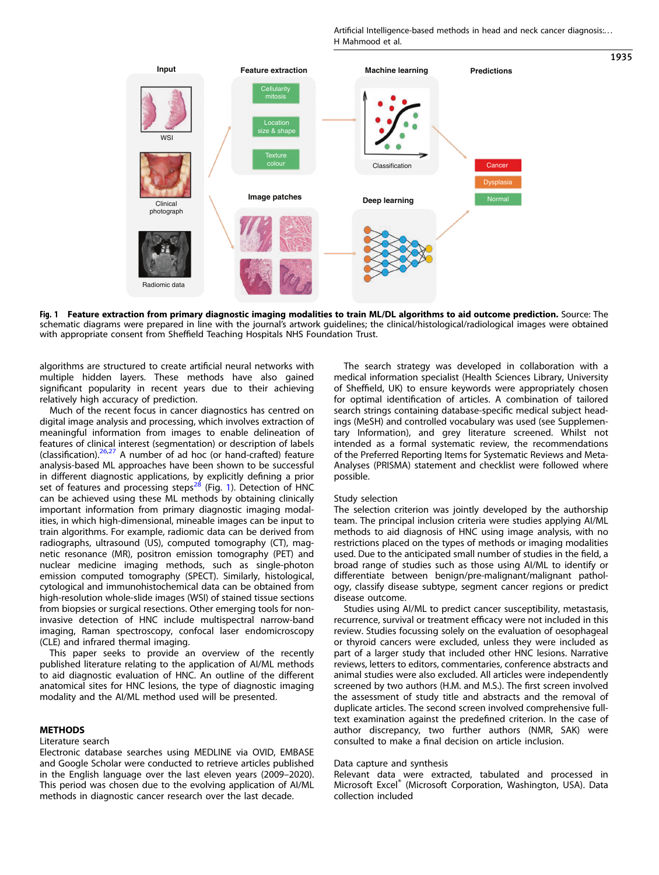Artificial Intelligence-based methods in head and neck cancer diagnosis:. . . H Mahmood et al.

1935



Fig. 1 Feature extraction from primary diagnostic imaging modalities to train ML/DL algorithms to aid outcome prediction. Source: The schematic diagrams were prepared in line with the journal's artwork guidelines; the clinical/histological/radiological images were obtained with appropriate consent from Sheffield Teaching Hospitals NHS Foundation Trust.

algorithms are structured to create artificial neural networks with multiple hidden layers. These methods have also gained significant popularity in recent years due to their achieving relatively high accuracy of prediction.

Much of the recent focus in cancer diagnostics has centred on digital image analysis and processing, which involves extraction of meaningful information from images to enable delineation of features of clinical interest (segmentation) or description of labels (classification). $26,27$  A number of ad hoc (or hand-crafted) feature analysis-based ML approaches have been shown to be successful in different diagnostic applications, by explicitly defining a prior set of features and processing steps<sup>[28](#page-6-0)</sup> (Fig. 1). Detection of HNC can be achieved using these ML methods by obtaining clinically important information from primary diagnostic imaging modalities, in which high-dimensional, mineable images can be input to train algorithms. For example, radiomic data can be derived from radiographs, ultrasound (US), computed tomography (CT), magnetic resonance (MR), positron emission tomography (PET) and nuclear medicine imaging methods, such as single-photon emission computed tomography (SPECT). Similarly, histological, cytological and immunohistochemical data can be obtained from high-resolution whole-slide images (WSI) of stained tissue sections from biopsies or surgical resections. Other emerging tools for noninvasive detection of HNC include multispectral narrow-band imaging, Raman spectroscopy, confocal laser endomicroscopy (CLE) and infrared thermal imaging.

This paper seeks to provide an overview of the recently published literature relating to the application of AI/ML methods to aid diagnostic evaluation of HNC. An outline of the different anatomical sites for HNC lesions, the type of diagnostic imaging modality and the AI/ML method used will be presented.

# METHODS

### Literature search

Electronic database searches using MEDLINE via OVID, EMBASE and Google Scholar were conducted to retrieve articles published in the English language over the last eleven years (2009–2020). This period was chosen due to the evolving application of AI/ML methods in diagnostic cancer research over the last decade.

The search strategy was developed in collaboration with a medical information specialist (Health Sciences Library, University of Sheffield, UK) to ensure keywords were appropriately chosen for optimal identification of articles. A combination of tailored search strings containing database-specific medical subject headings (MeSH) and controlled vocabulary was used (see Supplementary Information), and grey literature screened. Whilst not intended as a formal systematic review, the recommendations of the Preferred Reporting Items for Systematic Reviews and Meta-Analyses (PRISMA) statement and checklist were followed where possible.

# Study selection

The selection criterion was jointly developed by the authorship team. The principal inclusion criteria were studies applying AI/ML methods to aid diagnosis of HNC using image analysis, with no restrictions placed on the types of methods or imaging modalities used. Due to the anticipated small number of studies in the field, a broad range of studies such as those using AI/ML to identify or differentiate between benign/pre-malignant/malignant pathology, classify disease subtype, segment cancer regions or predict disease outcome.

Studies using AI/ML to predict cancer susceptibility, metastasis, recurrence, survival or treatment efficacy were not included in this review. Studies focussing solely on the evaluation of oesophageal or thyroid cancers were excluded, unless they were included as part of a larger study that included other HNC lesions. Narrative reviews, letters to editors, commentaries, conference abstracts and animal studies were also excluded. All articles were independently screened by two authors (H.M. and M.S.). The first screen involved the assessment of study title and abstracts and the removal of duplicate articles. The second screen involved comprehensive fulltext examination against the predefined criterion. In the case of author discrepancy, two further authors (NMR, SAK) were consulted to make a final decision on article inclusion.

#### Data capture and synthesis

Relevant data were extracted, tabulated and processed in Microsoft Excel® (Microsoft Corporation, Washington, USA). Data collection included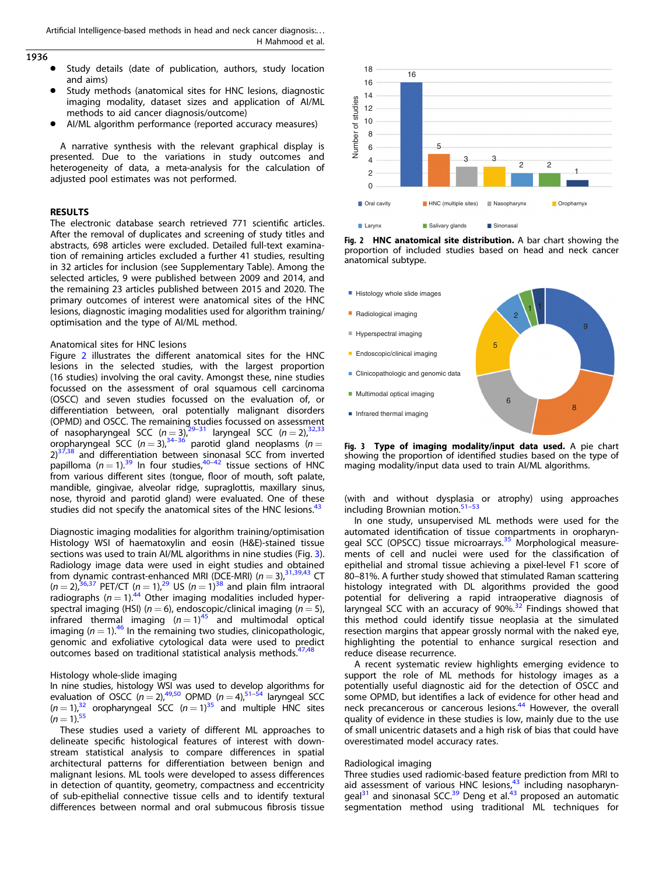# <span id="page-2-0"></span>1936

- Study details (date of publication, authors, study location and aims)
- Study methods (anatomical sites for HNC lesions, diagnostic imaging modality, dataset sizes and application of AI/ML methods to aid cancer diagnosis/outcome)
- AI/ML algorithm performance (reported accuracy measures)

A narrative synthesis with the relevant graphical display is presented. Due to the variations in study outcomes and heterogeneity of data, a meta-analysis for the calculation of adjusted pool estimates was not performed.

### RESULTS

The electronic database search retrieved 771 scientific articles. After the removal of duplicates and screening of study titles and abstracts, 698 articles were excluded. Detailed full-text examination of remaining articles excluded a further 41 studies, resulting in 32 articles for inclusion (see Supplementary Table). Among the selected articles, 9 were published between 2009 and 2014, and the remaining 23 articles published between 2015 and 2020. The primary outcomes of interest were anatomical sites of the HNC lesions, diagnostic imaging modalities used for algorithm training/ optimisation and the type of AI/ML method.

## Anatomical sites for HNC lesions

Figure 2 illustrates the different anatomical sites for the HNC lesions in the selected studies, with the largest proportion (16 studies) involving the oral cavity. Amongst these, nine studies focussed on the assessment of oral squamous cell carcinoma (OSCC) and seven studies focussed on the evaluation of, or differentiation between, oral potentially malignant disorders (OPMD) and OSCC. The remaining studies focussed on assessment of nasopharyngeal SCC ( $n = 3$ ),  $29-31$  $29-31$  $29-31$  laryngeal SCC ( $n = 2$ ),  $32,33$  $32,33$ oropharyngeal SCC ( $n = 3$ ),  $34-36$  $34-36$  $34-36$  parotid gland neoplasms ( $n =$  $2)$ <sup>37,38</sup> and differentiation between sinonasal SCC from inverted papilloma  $(n=1).^{39}$  $(n=1).^{39}$  $(n=1).^{39}$  In four studies,  $40-42$  $40-42$  tissue sections of HNC from various different sites (tongue, floor of mouth, soft palate, mandible, gingivae, alveolar ridge, supraglottis, maxillary sinus, nose, thyroid and parotid gland) were evaluated. One of these studies did not specify the anatomical sites of the HNC lesions.<sup>43</sup>

Diagnostic imaging modalities for algorithm training/optimisation Histology WSI of haematoxylin and eosin (H&E)-stained tissue sections was used to train AI/ML algorithms in nine studies (Fig. 3). Radiology image data were used in eight studies and obtained from dynamic contrast-enhanced MRI (DCE-MRI) ( $n = 3$ ),  $31,39,43$  CT  $(n = 2)$ ,  $36,37$  PET/CT  $(n = 1)$ ,  $29$  US  $(n = 1)$ ,  $38$  and plain film intraoral radiographs ( $n = 1$ ).<sup>[44](#page-6-0)</sup> Other imaging modalities included hyperspectral imaging (HSI) ( $n = 6$ ), endoscopic/clinical imaging ( $n = 5$ ), infrared thermal imaging  $(n=1)^{45}$  $(n=1)^{45}$  $(n=1)^{45}$  and multimodal optical imaging ( $n = 1$ ).<sup>[46](#page-6-0)</sup> In the remaining two studies, clinicopathologic, genomic and exfoliative cytological data were used to predict outcomes based on traditional statistical analysis methods.<sup>47,48</sup>

Histology whole-slide imaging

In nine studies, histology WSI was used to develop algorithms for evaluation of OSCC  $(n = 2)$ ,<sup>49,50</sup> OPMD  $(n = 4)$ ,<sup>51–[54](#page-6-0)</sup> laryngeal SCC  $(n = 1)$ ,<sup>32</sup> oropharyngeal SCC  $(n = 1)$ <sup>35</sup> and multiple HNC sites  $(n = 1)^{55}$ 

These studies used a variety of different ML approaches to delineate specific histological features of interest with downstream statistical analysis to compare differences in spatial architectural patterns for differentiation between benign and malignant lesions. ML tools were developed to assess differences in detection of quantity, geometry, compactness and eccentricity of sub-epithelial connective tissue cells and to identify textural differences between normal and oral submucous fibrosis tissue



Fig. 2 HNC anatomical site distribution. A bar chart showing the proportion of included studies based on head and neck cancer anatomical subtype.

- Histology whole slide images
- Radiological imaging
- Hyperspectral imaging
- $\blacksquare$  Endoscopic/clinical imaging
- Clinicopathologic and genomic data
- **Multimodal optical imaging**
- Infrared thermal imaging



Fig. 3 Type of imaging modality/input data used. A pie chart showing the proportion of identified studies based on the type of maging modality/input data used to train AI/ML algorithms.

(with and without dysplasia or atrophy) using approaches including Brownian motion.<sup>[51](#page-6-0)-[53](#page-6-0)</sup>

In one study, unsupervised ML methods were used for the automated identification of tissue compartments in oropharyn-geal SCC (OPSCC) tissue microarrays.<sup>[35](#page-6-0)</sup> Morphological measurements of cell and nuclei were used for the classification of epithelial and stromal tissue achieving a pixel-level F1 score of 80–81%. A further study showed that stimulated Raman scattering histology integrated with DL algorithms provided the good potential for delivering a rapid intraoperative diagnosis of laryngeal SCC with an accuracy of  $90\%$ <sup>[32](#page-6-0)</sup> Findings showed that this method could identify tissue neoplasia at the simulated resection margins that appear grossly normal with the naked eye, highlighting the potential to enhance surgical resection and reduce disease recurrence.

A recent systematic review highlights emerging evidence to support the role of ML methods for histology images as a potentially useful diagnostic aid for the detection of OSCC and some OPMD, but identifies a lack of evidence for other head and neck precancerous or cancerous lesions.<sup>[44](#page-6-0)</sup> However, the overall quality of evidence in these studies is low, mainly due to the use of small unicentric datasets and a high risk of bias that could have overestimated model accuracy rates.

#### Radiological imaging

Three studies used radiomic-based feature prediction from MRI to aid assessment of various HNC lesions, $43$  including nasopharyn- $\text{qcal}^{31}$  and sinonasal SCC.<sup>[39](#page-6-0)</sup> Deng et al.<sup>[43](#page-6-0)</sup> proposed an automatic segmentation method using traditional ML techniques for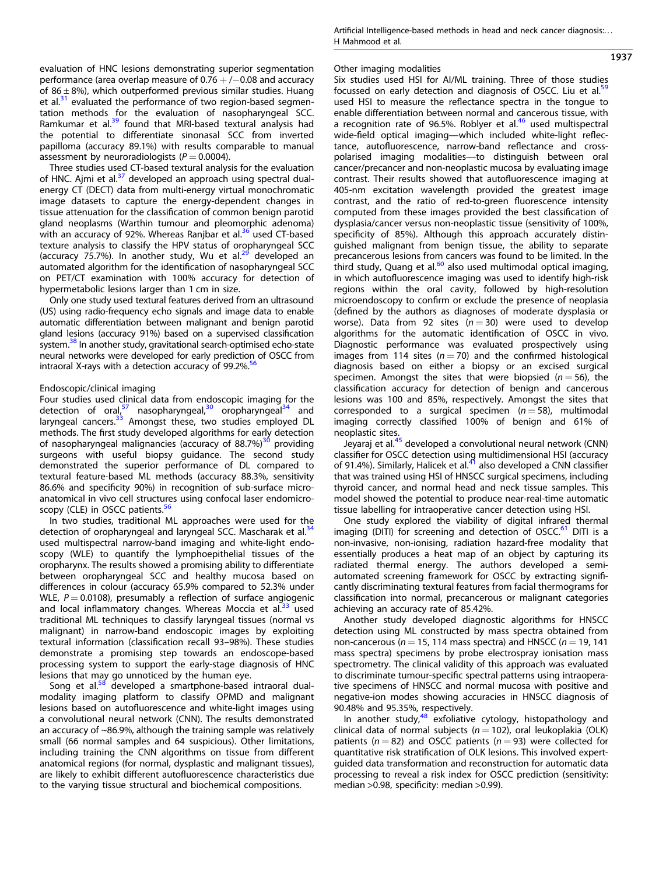Three studies used CT-based textural analysis for the evaluation of HNC. Ajmi et al. $37$  developed an approach using spectral dualenergy CT (DECT) data from multi-energy virtual monochromatic image datasets to capture the energy-dependent changes in tissue attenuation for the classification of common benign parotid gland neoplasms (Warthin tumour and pleomorphic adenoma) with an accuracy of 92%. Whereas Ranjbar et al.<sup>[36](#page-6-0)</sup> used CT-based texture analysis to classify the HPV status of oropharyngeal SCC (accuracy 75.7%). In another study, Wu et al. $^{29}$  developed an automated algorithm for the identification of nasopharyngeal SCC on PET/CT examination with 100% accuracy for detection of hypermetabolic lesions larger than 1 cm in size.

Only one study used textural features derived from an ultrasound (US) using radio-frequency echo signals and image data to enable automatic differentiation between malignant and benign parotid gland lesions (accuracy 91%) based on a supervised classification system.<sup>38</sup> In another study, gravitational search-optimised echo-state neural networks were developed for early prediction of OSCC from intraoral X-rays with a detection accuracy of 99.2%. $^{56}$ 

# Endoscopic/clinical imaging

Four studies used clinical data from endoscopic imaging for the detection of oral,<sup>[57](#page-6-0)</sup> nasopharyngeal,<sup>[30](#page-6-0)</sup> oropharyngeal<sup>[34](#page-6-0)</sup> and laryngeal cancers. $33$  Amongst these, two studies employed DL methods. The first study developed algorithms for early detection of nasopharyngeal malignancies (accuracy of 88.7%)<sup>[30](#page-6-0)</sup> providing surgeons with useful biopsy guidance. The second study demonstrated the superior performance of DL compared to textural feature-based ML methods (accuracy 88.3%, sensitivity 86.6% and specificity 90%) in recognition of sub-surface microanatomical in vivo cell structures using confocal laser endomicro-scopy (CLE) in OSCC patients.<sup>[56](#page-6-0)</sup>

In two studies, traditional ML approaches were used for the detection of oropharyngeal and laryngeal SCC. Mascharak et al.<sup>34</sup> used multispectral narrow-band imaging and white-light endoscopy (WLE) to quantify the lymphoepithelial tissues of the oropharynx. The results showed a promising ability to differentiate between oropharyngeal SCC and healthy mucosa based on differences in colour (accuracy 65.9% compared to 52.3% under WLE,  $P = 0.0108$ ), presumably a reflection of surface angiogenic and local inflammatory changes. Whereas Moccia et al.<sup>[33](#page-6-0)</sup> used traditional ML techniques to classify laryngeal tissues (normal vs malignant) in narrow-band endoscopic images by exploiting textural information (classification recall 93–98%). These studies demonstrate a promising step towards an endoscope-based processing system to support the early-stage diagnosis of HNC lesions that may go unnoticed by the human eye.

Song et al. $58$  developed a smartphone-based intraoral dualmodality imaging platform to classify OPMD and malignant lesions based on autofluorescence and white-light images using a convolutional neural network (CNN). The results demonstrated an accuracy of ~86.9%, although the training sample was relatively small (66 normal samples and 64 suspicious). Other limitations, including training the CNN algorithms on tissue from different anatomical regions (for normal, dysplastic and malignant tissues), are likely to exhibit different autofluorescence characteristics due to the varying tissue structural and biochemical compositions.

# Other imaging modalities

Six studies used HSI for AI/ML training. Three of those studies focussed on early detection and diagnosis of OSCC. Liu et al.<sup>59</sup> used HSI to measure the reflectance spectra in the tongue to enable differentiation between normal and cancerous tissue, with a recognition rate of 96.5%. Roblyer et al. $46$  used multispectral wide-field optical imaging—which included white-light reflectance, autofluorescence, narrow-band reflectance and crosspolarised imaging modalities—to distinguish between oral cancer/precancer and non-neoplastic mucosa by evaluating image contrast. Their results showed that autofluorescence imaging at 405-nm excitation wavelength provided the greatest image contrast, and the ratio of red-to-green fluorescence intensity computed from these images provided the best classification of dysplasia/cancer versus non-neoplastic tissue (sensitivity of 100%, specificity of 85%). Although this approach accurately distinguished malignant from benign tissue, the ability to separate precancerous lesions from cancers was found to be limited. In the third study, Quang et al.<sup>[60](#page-6-0)</sup> also used multimodal optical imaging, in which autofluorescence imaging was used to identify high-risk regions within the oral cavity, followed by high-resolution microendoscopy to confirm or exclude the presence of neoplasia (defined by the authors as diagnoses of moderate dysplasia or worse). Data from 92 sites ( $n = 30$ ) were used to develop algorithms for the automatic identification of OSCC in vivo. Diagnostic performance was evaluated prospectively using images from 114 sites ( $n = 70$ ) and the confirmed histological diagnosis based on either a biopsy or an excised surgical specimen. Amongst the sites that were biopsied ( $n = 56$ ), the classification accuracy for detection of benign and cancerous lesions was 100 and 85%, respectively. Amongst the sites that corresponded to a surgical specimen ( $n = 58$ ), multimodal imaging correctly classified 100% of benign and 61% of neoplastic sites.

Jeyaraj et al.[45](#page-6-0) developed a convolutional neural network (CNN) classifier for OSCC detection using multidimensional HSI (accuracy of 91.4%). Similarly, Halicek et al.[41](#page-6-0) also developed a CNN classifier that was trained using HSI of HNSCC surgical specimens, including thyroid cancer, and normal head and neck tissue samples. This model showed the potential to produce near-real-time automatic tissue labelling for intraoperative cancer detection using HSI.

One study explored the viability of digital infrared thermal imaging (DITI) for screening and detection of OSCC.<sup>[61](#page-6-0)</sup> DITI is a non-invasive, non-ionising, radiation hazard-free modality that essentially produces a heat map of an object by capturing its radiated thermal energy. The authors developed a semiautomated screening framework for OSCC by extracting significantly discriminating textural features from facial thermograms for classification into normal, precancerous or malignant categories achieving an accuracy rate of 85.42%.

Another study developed diagnostic algorithms for HNSCC detection using ML constructed by mass spectra obtained from non-cancerous ( $n = 15$ , 114 mass spectra) and HNSCC ( $n = 19$ , 141 mass spectra) specimens by probe electrospray ionisation mass spectrometry. The clinical validity of this approach was evaluated to discriminate tumour-specific spectral patterns using intraoperative specimens of HNSCC and normal mucosa with positive and negative-ion modes showing accuracies in HNSCC diagnosis of 90.48% and 95.35%, respectively.

In another study, $48$  exfoliative cytology, histopathology and clinical data of normal subjects ( $n = 102$ ), oral leukoplakia (OLK) patients ( $n = 82$ ) and OSCC patients ( $n = 93$ ) were collected for quantitative risk stratification of OLK lesions. This involved expertguided data transformation and reconstruction for automatic data processing to reveal a risk index for OSCC prediction (sensitivity: median >0.98, specificity: median >0.99).

1937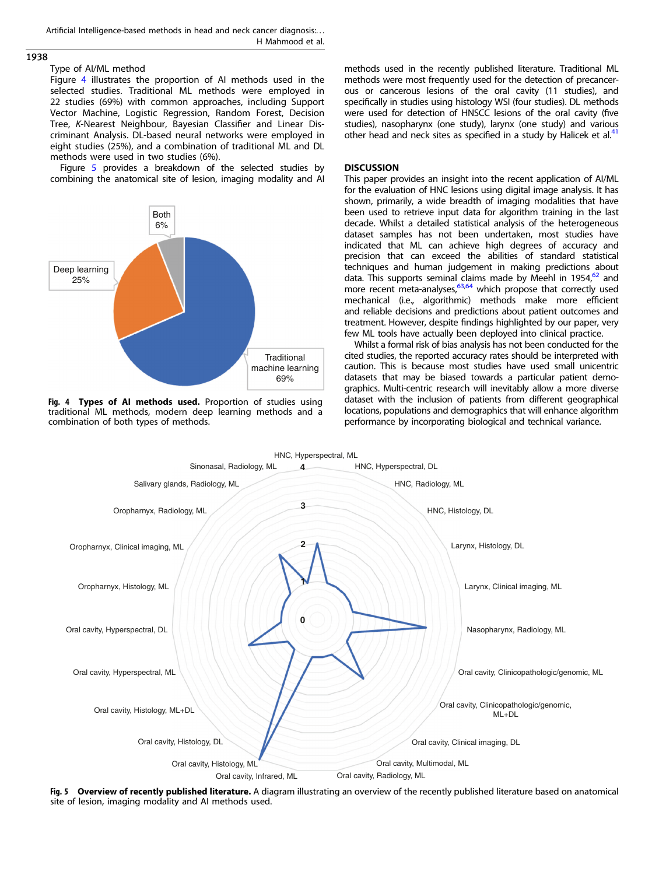# <span id="page-4-0"></span>1938

## Type of AI/ML method

Figure 4 illustrates the proportion of AI methods used in the selected studies. Traditional ML methods were employed in 22 studies (69%) with common approaches, including Support Vector Machine, Logistic Regression, Random Forest, Decision Tree, K-Nearest Neighbour, Bayesian Classifier and Linear Discriminant Analysis. DL-based neural networks were employed in eight studies (25%), and a combination of traditional ML and DL methods were used in two studies (6%).

Figure 5 provides a breakdown of the selected studies by combining the anatomical site of lesion, imaging modality and AI



Fig. 4 Types of AI methods used. Proportion of studies using traditional ML methods, modern deep learning methods and a combination of both types of methods.

methods used in the recently published literature. Traditional ML methods were most frequently used for the detection of precancerous or cancerous lesions of the oral cavity (11 studies), and specifically in studies using histology WSI (four studies). DL methods were used for detection of HNSCC lesions of the oral cavity (five studies), nasopharynx (one study), larynx (one study) and various other head and neck sites as specified in a study by Halicek et al.<sup>[41](#page-6-0)</sup>

# DISCUSSION

This paper provides an insight into the recent application of AI/ML for the evaluation of HNC lesions using digital image analysis. It has shown, primarily, a wide breadth of imaging modalities that have been used to retrieve input data for algorithm training in the last decade. Whilst a detailed statistical analysis of the heterogeneous dataset samples has not been undertaken, most studies have indicated that ML can achieve high degrees of accuracy and precision that can exceed the abilities of standard statistical techniques and human judgement in making predictions about data. This supports seminal claims made by Meehl in 1954,<sup>62</sup> and more recent meta-analyses, $63,64$  which propose that correctly used mechanical (i.e., algorithmic) methods make more efficient and reliable decisions and predictions about patient outcomes and treatment. However, despite findings highlighted by our paper, very few ML tools have actually been deployed into clinical practice.

Whilst a formal risk of bias analysis has not been conducted for the cited studies, the reported accuracy rates should be interpreted with caution. This is because most studies have used small unicentric datasets that may be biased towards a particular patient demographics. Multi-centric research will inevitably allow a more diverse dataset with the inclusion of patients from different geographical locations, populations and demographics that will enhance algorithm performance by incorporating biological and technical variance.



Fig. 5 Overview of recently published literature. A diagram illustrating an overview of the recently published literature based on anatomical site of lesion, imaging modality and AI methods used.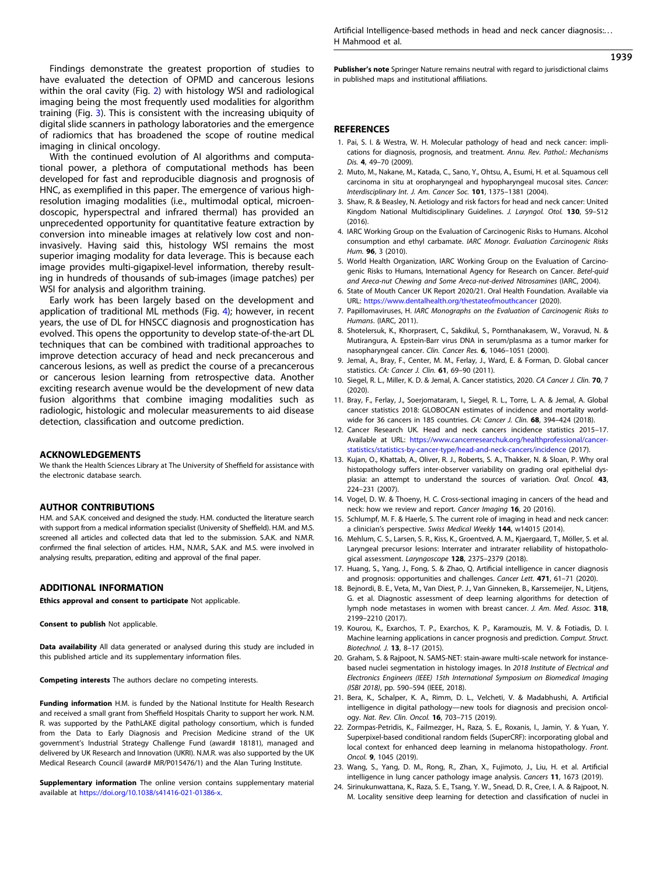<span id="page-5-0"></span>Findings demonstrate the greatest proportion of studies to have evaluated the detection of OPMD and cancerous lesions within the oral cavity (Fig. [2](#page-2-0)) with histology WSI and radiological imaging being the most frequently used modalities for algorithm training (Fig. [3](#page-2-0)). This is consistent with the increasing ubiquity of digital slide scanners in pathology laboratories and the emergence of radiomics that has broadened the scope of routine medical imaging in clinical oncology.

With the continued evolution of AI algorithms and computational power, a plethora of computational methods has been developed for fast and reproducible diagnosis and prognosis of HNC, as exemplified in this paper. The emergence of various highresolution imaging modalities (i.e., multimodal optical, microendoscopic, hyperspectral and infrared thermal) has provided an unprecedented opportunity for quantitative feature extraction by conversion into mineable images at relatively low cost and noninvasively. Having said this, histology WSI remains the most superior imaging modality for data leverage. This is because each image provides multi-gigapixel-level information, thereby resulting in hundreds of thousands of sub-images (image patches) per WSI for analysis and algorithm training.

Early work has been largely based on the development and application of traditional ML methods (Fig. [4\)](#page-4-0); however, in recent years, the use of DL for HNSCC diagnosis and prognostication has evolved. This opens the opportunity to develop state-of-the-art DL techniques that can be combined with traditional approaches to improve detection accuracy of head and neck precancerous and cancerous lesions, as well as predict the course of a precancerous or cancerous lesion learning from retrospective data. Another exciting research avenue would be the development of new data fusion algorithms that combine imaging modalities such as radiologic, histologic and molecular measurements to aid disease detection, classification and outcome prediction.

#### ACKNOWLEDGEMENTS

We thank the Health Sciences Library at The University of Sheffield for assistance with the electronic database search.

# AUTHOR CONTRIBUTIONS

H.M. and S.A.K. conceived and designed the study. H.M. conducted the literature search with support from a medical information specialist (University of Sheffield). H.M. and M.S. screened all articles and collected data that led to the submission. S.A.K. and N.M.R. confirmed the final selection of articles. H.M., N.M.R., S.A.K. and M.S. were involved in analysing results, preparation, editing and approval of the final paper.

#### ADDITIONAL INFORMATION

Ethics approval and consent to participate Not applicable.

Consent to publish Not applicable.

Data availability All data generated or analysed during this study are included in this published article and its supplementary information files.

Competing interests The authors declare no competing interests.

Funding information H.M. is funded by the National Institute for Health Research and received a small grant from Sheffield Hospitals Charity to support her work. N.M. R. was supported by the PathLAKE digital pathology consortium, which is funded from the Data to Early Diagnosis and Precision Medicine strand of the UK government's Industrial Strategy Challenge Fund (award# 18181), managed and delivered by UK Research and Innovation (UKRI). N.M.R. was also supported by the UK Medical Research Council (award# MR/P015476/1) and the Alan Turing Institute.

**Supplementary information** The online version contains supplementary material available at [https://doi.org/10.1038/s41416-021-01386-x.](https://doi.org/10.1038/s41416-021-01386-x)

Artificial Intelligence-based methods in head and neck cancer diagnosis:. . . H Mahmood et al.

## 1939

Publisher's note Springer Nature remains neutral with regard to jurisdictional claims in published maps and institutional affiliations.

### **REFERENCES**

- 1. Pai, S. I. & Westra, W. H. Molecular pathology of head and neck cancer: implications for diagnosis, prognosis, and treatment. Annu. Rev. Pathol.: Mechanisms Dis. 4, 49–70 (2009).
- 2. Muto, M., Nakane, M., Katada, C., Sano, Y., Ohtsu, A., Esumi, H. et al. Squamous cell carcinoma in situ at oropharyngeal and hypopharyngeal mucosal sites. Cancer: Interdisciplinary Int. J. Am. Cancer Soc. 101, 1375–1381 (2004).
- 3. Shaw, R. & Beasley, N. Aetiology and risk factors for head and neck cancer: United Kingdom National Multidisciplinary Guidelines. J. Laryngol. Otol. 130, S9-S12 (2016).
- 4. IARC Working Group on the Evaluation of Carcinogenic Risks to Humans. Alcohol consumption and ethyl carbamate. IARC Monogr. Evaluation Carcinogenic Risks Hum. 96, 3 (2010).
- 5. World Health Organization, IARC Working Group on the Evaluation of Carcinogenic Risks to Humans, International Agency for Research on Cancer. Betel-quid and Areca-nut Chewing and Some Areca-nut-derived Nitrosamines (IARC, 2004).
- 6. State of Mouth Cancer UK Report 2020/21. Oral Health Foundation. Available via URL: <https://www.dentalhealth.org/thestateofmouthcancer> (2020).
- 7. Papillomaviruses, H. IARC Monographs on the Evaluation of Carcinogenic Risks to Humans. (IARC, 2011).
- 8. Shotelersuk, K., Khorprasert, C., Sakdikul, S., Pornthanakasem, W., Voravud, N. & Mutirangura, A. Epstein-Barr virus DNA in serum/plasma as a tumor marker for nasopharyngeal cancer. Clin. Cancer Res. 6, 1046–1051 (2000).
- 9. Jemal, A., Bray, F., Center, M. M., Ferlay, J., Ward, E. & Forman, D. Global cancer statistics. CA: Cancer J. Clin. **61**, 69-90 (2011).
- 10. Siegel, R. L., Miller, K. D. & Jemal, A. Cancer statistics, 2020. CA Cancer J. Clin. 70, 7  $(2020)$
- 11. Bray, F., Ferlay, J., Soerjomataram, I., Siegel, R. L., Torre, L. A. & Jemal, A. Global cancer statistics 2018: GLOBOCAN estimates of incidence and mortality worldwide for 36 cancers in 185 countries. CA: Cancer J. Clin. 68, 394-424 (2018).
- 12. Cancer Research UK. Head and neck cancers incidence statistics 2015–17. Available at URL: [https://www.cancerresearchuk.org/healthprofessional/cancer](https://www.cancerresearchuk.org/healthprofessional/cancer-statistics/statistics-by-cancer-type/head-and-neck-cancers/incidence)[statistics/statistics-by-cancer-type/head-and-neck-cancers/incidence](https://www.cancerresearchuk.org/healthprofessional/cancer-statistics/statistics-by-cancer-type/head-and-neck-cancers/incidence) (2017).
- 13. Kujan, O., Khattab, A., Oliver, R. J., Roberts, S. A., Thakker, N. & Sloan, P. Why oral histopathology suffers inter-observer variability on grading oral epithelial dysplasia: an attempt to understand the sources of variation. Oral. Oncol. 43, 224–231 (2007).
- 14. Vogel, D. W. & Thoeny, H. C. Cross-sectional imaging in cancers of the head and neck: how we review and report. Cancer Imaging 16, 20 (2016).
- 15. Schlumpf, M. F. & Haerle, S. The current role of imaging in head and neck cancer: a clinician's perspective. Swiss Medical Weekly 144, w14015 (2014).
- 16. Mehlum, C. S., Larsen, S. R., Kiss, K., Groentved, A. M., Kjaergaard, T., Möller, S. et al. Laryngeal precursor lesions: Interrater and intrarater reliability of histopathological assessment. Laryngoscope 128, 2375-2379 (2018).
- 17. Huang, S., Yang, J., Fong, S. & Zhao, Q. Artificial intelligence in cancer diagnosis and prognosis: opportunities and challenges. Cancer Lett. 471, 61-71 (2020).
- 18. Bejnordi, B. E., Veta, M., Van Diest, P. J., Van Ginneken, B., Karssemeijer, N., Litjens, G. et al. Diagnostic assessment of deep learning algorithms for detection of lymph node metastases in women with breast cancer. J. Am. Med. Assoc. 318, 2199–2210 (2017).
- 19. Kourou, K., Exarchos, T. P., Exarchos, K. P., Karamouzis, M. V. & Fotiadis, D. I. Machine learning applications in cancer prognosis and prediction. Comput. Struct. Biotechnol. J. 13, 8–17 (2015).
- 20. Graham, S. & Rajpoot, N. SAMS-NET: stain-aware multi-scale network for instancebased nuclei segmentation in histology images. In 2018 Institute of Electrical and Electronics Engineers (IEEE) 15th International Symposium on Biomedical Imaging (ISBI 2018), pp. 590–594 (IEEE, 2018).
- 21. Bera, K., Schalper, K. A., Rimm, D. L., Velcheti, V. & Madabhushi, A. Artificial intelligence in digital pathology—new tools for diagnosis and precision oncology. Nat. Rev. Clin. Oncol. 16, 703–715 (2019).
- 22. Zormpas-Petridis, K., Failmezger, H., Raza, S. E., Roxanis, I., Jamin, Y. & Yuan, Y. Superpixel-based conditional random fields (SuperCRF): incorporating global and local context for enhanced deep learning in melanoma histopathology. Front. Oncol. 9, 1045 (2019).
- 23. Wang, S., Yang, D. M., Rong, R., Zhan, X., Fujimoto, J., Liu, H. et al. Artificial intelligence in lung cancer pathology image analysis. Cancers 11, 1673 (2019).
- 24. Sirinukunwattana, K., Raza, S. E., Tsang, Y. W., Snead, D. R., Cree, I. A. & Rajpoot, N. M. Locality sensitive deep learning for detection and classification of nuclei in